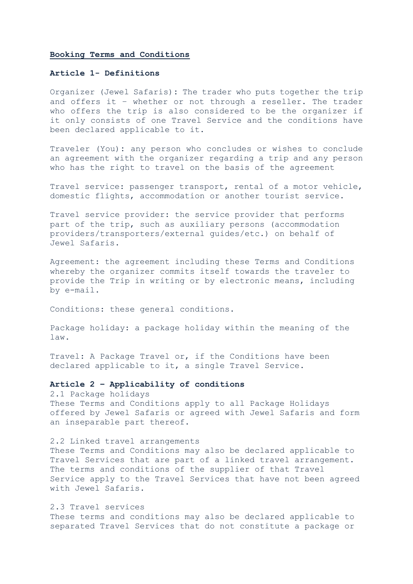### **Booking Terms and Conditions**

## **Article 1- Definitions**

Organizer (Jewel Safaris)**:** The trader who puts together the trip and offers it – whether or not through a reseller. The trader who offers the trip is also considered to be the organizer if it only consists of one Travel Service and the conditions have been declared applicable to it.

Traveler (You)**:** any person who concludes or wishes to conclude an agreement with the organizer regarding a trip and any person who has the right to travel on the basis of the agreement

Travel service: passenger transport, rental of a motor vehicle, domestic flights, accommodation or another tourist service.

Travel service provider: the service provider that performs part of the trip, such as auxiliary persons (accommodation providers/transporters/external guides/etc.) on behalf of Jewel Safaris.

Agreement: the agreement including these Terms and Conditions whereby the organizer commits itself towards the traveler to provide the Trip in writing or by electronic means, including by e-mail.

Conditions: these general conditions.

Package holiday: a package holiday within the meaning of the law.

Travel: A Package Travel or, if the Conditions have been declared applicable to it, a single Travel Service.

# **Article 2 – Applicability of conditions**

2.1 Package holidays These Terms and Conditions apply to all Package Holidays offered by Jewel Safaris or agreed with Jewel Safaris and form an inseparable part thereof.

#### 2.2 Linked travel arrangements

These Terms and Conditions may also be declared applicable to Travel Services that are part of a linked travel arrangement. The terms and conditions of the supplier of that Travel Service apply to the Travel Services that have not been agreed with Jewel Safaris.

## 2.3 Travel services

These terms and conditions may also be declared applicable to separated Travel Services that do not constitute a package or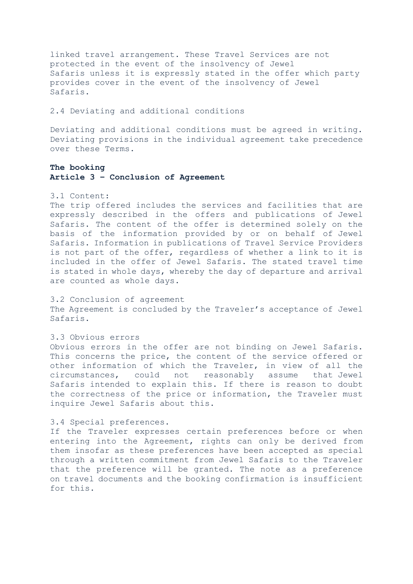linked travel arrangement. These Travel Services are not protected in the event of the insolvency of Jewel Safaris unless it is expressly stated in the offer which party provides cover in the event of the insolvency of Jewel Safaris.

2.4 Deviating and additional conditions

Deviating and additional conditions must be agreed in writing. Deviating provisions in the individual agreement take precedence over these Terms.

# **The booking Article 3 – Conclusion of Agreement**

# 3.1 Content:

The trip offered includes the services and facilities that are expressly described in the offers and publications of Jewel Safaris. The content of the offer is determined solely on the basis of the information provided by or on behalf of Jewel Safaris. Information in publications of Travel Service Providers is not part of the offer, regardless of whether a link to it is included in the offer of Jewel Safaris. The stated travel time is stated in whole days, whereby the day of departure and arrival are counted as whole days.

3.2 Conclusion of agreement The Agreement is concluded by the Traveler's acceptance of Jewel Safaris.

3.3 Obvious errors

Obvious errors in the offer are not binding on Jewel Safaris. This concerns the price, the content of the service offered or other information of which the Traveler, in view of all the circumstances, could not reasonably assume that Jewel Safaris intended to explain this. If there is reason to doubt the correctness of the price or information, the Traveler must inquire Jewel Safaris about this.

## 3.4 Special preferences.

If the Traveler expresses certain preferences before or when entering into the Agreement, rights can only be derived from them insofar as these preferences have been accepted as special through a written commitment from Jewel Safaris to the Traveler that the preference will be granted. The note as a preference on travel documents and the booking confirmation is insufficient for this.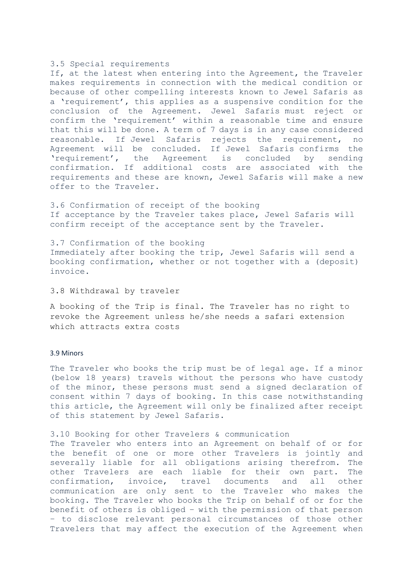### 3.5 Special requirements

If, at the latest when entering into the Agreement, the Traveler makes requirements in connection with the medical condition or because of other compelling interests known to Jewel Safaris as a 'requirement', this applies as a suspensive condition for the conclusion of the Agreement. Jewel Safaris must reject or confirm the 'requirement' within a reasonable time and ensure that this will be done. A term of 7 days is in any case considered reasonable. If Jewel Safaris rejects the requirement, no Agreement will be concluded. If Jewel Safaris confirms the 'requirement', the Agreement is concluded by sending confirmation. If additional costs are associated with the requirements and these are known, Jewel Safaris will make a new offer to the Traveler.

3.6 Confirmation of receipt of the booking If acceptance by the Traveler takes place, Jewel Safaris will confirm receipt of the acceptance sent by the Traveler.

3.7 Confirmation of the booking Immediately after booking the trip, Jewel Safaris will send a booking confirmation, whether or not together with a (deposit) invoice.

## 3.8 Withdrawal by traveler

A booking of the Trip is final. The Traveler has no right to revoke the Agreement unless he/she needs a safari extension which attracts extra costs

## 3.9 Minors

The Traveler who books the trip must be of legal age. If a minor (below 18 years) travels without the persons who have custody of the minor, these persons must send a signed declaration of consent within 7 days of booking. In this case notwithstanding this article, the Agreement will only be finalized after receipt of this statement by Jewel Safaris.

### 3.10 Booking for other Travelers & communication

The Traveler who enters into an Agreement on behalf of or for the benefit of one or more other Travelers is jointly and severally liable for all obligations arising therefrom. The other Travelers are each liable for their own part. The confirmation, invoice, travel documents and all other communication are only sent to the Traveler who makes the booking. The Traveler who books the Trip on behalf of or for the benefit of others is obliged – with the permission of that person – to disclose relevant personal circumstances of those other Travelers that may affect the execution of the Agreement when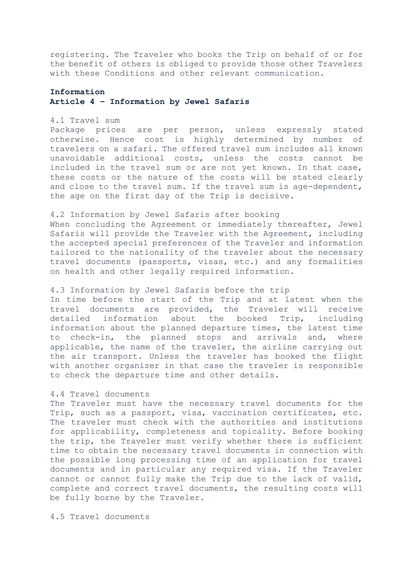registering. The Traveler who books the Trip on behalf of or for the benefit of others is obliged to provide those other Travelers with these Conditions and other relevant communication.

# **Information Article 4 – Information by Jewel Safaris**

## 4.1 Travel sum

Package prices are per person, unless expressly stated otherwise. Hence cost is highly determined by number of travelers on a safari. The offered travel sum includes all known unavoidable additional costs, unless the costs cannot be included in the travel sum or are not yet known. In that case, these costs or the nature of the costs will be stated clearly and close to the travel sum. If the travel sum is age-dependent, the age on the first day of the Trip is decisive.

## 4.2 Information by Jewel Safaris after booking

When concluding the Agreement or immediately thereafter, Jewel Safaris will provide the Traveler with the Agreement, including the accepted special preferences of the Traveler and information tailored to the nationality of the traveler about the necessary travel documents (passports, visas, etc.) and any formalities on health and other legally required information.

## 4.3 Information by Jewel Safaris before the trip

In time before the start of the Trip and at latest when the travel documents are provided, the Traveler will receive detailed information about the booked Trip, including information about the planned departure times, the latest time to check-in, the planned stops and arrivals and, where applicable, the name of the traveler, the airline carrying out the air transport. Unless the traveler has booked the flight with another organizer in that case the traveler is responsible to check the departure time and other details.

## 4.4 Travel documents

The Traveler must have the necessary travel documents for the Trip, such as a passport, visa, vaccination certificates, etc. The traveler must check with the authorities and institutions for applicability, completeness and topicality. Before booking the trip, the Traveler must verify whether there is sufficient time to obtain the necessary travel documents in connection with the possible long processing time of an application for travel documents and in particular any required visa. If the Traveler cannot or cannot fully make the Trip due to the lack of valid, complete and correct travel documents, the resulting costs will be fully borne by the Traveler.

4.5 Travel documents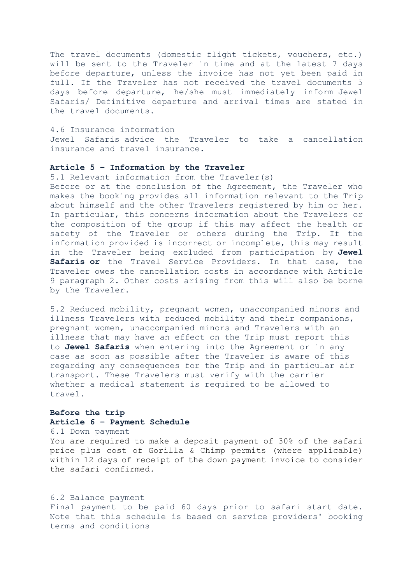The travel documents (domestic flight tickets, vouchers, etc.) will be sent to the Traveler in time and at the latest 7 days before departure, unless the invoice has not yet been paid in full. If the Traveler has not received the travel documents 5 days before departure, he/she must immediately inform Jewel Safaris/ Definitive departure and arrival times are stated in the travel documents.

### 4.6 Insurance information

Jewel Safaris advice the Traveler to take a cancellation insurance and travel insurance.

### **Article 5 – Information by the Traveler**

5.1 Relevant information from the Traveler(s)

Before or at the conclusion of the Agreement, the Traveler who makes the booking provides all information relevant to the Trip about himself and the other Travelers registered by him or her. In particular, this concerns information about the Travelers or the composition of the group if this may affect the health or safety of the Traveler or others during the Trip. If the information provided is incorrect or incomplete, this may result in the Traveler being excluded from participation by **Jewel Safaris or** the Travel Service Providers. In that case, the Traveler owes the cancellation costs in accordance with Article 9 paragraph 2. Other costs arising from this will also be borne by the Traveler.

5.2 Reduced mobility, pregnant women, unaccompanied minors and illness Travelers with reduced mobility and their companions, pregnant women, unaccompanied minors and Travelers with an illness that may have an effect on the Trip must report this to **Jewel Safaris** when entering into the Agreement or in any case as soon as possible after the Traveler is aware of this regarding any consequences for the Trip and in particular air transport. These Travelers must verify with the carrier whether a medical statement is required to be allowed to travel.

# **Before the trip Article 6 – Payment Schedule**

#### 6.1 Down payment

You are required to make a deposit payment of 30% of the safari price plus cost of Gorilla & Chimp permits (where applicable) within 12 days of receipt of the down payment invoice to consider the safari confirmed.

## 6.2 Balance payment

Final payment to be paid 60 days prior to safari start date. Note that this schedule is based on service providers' booking terms and conditions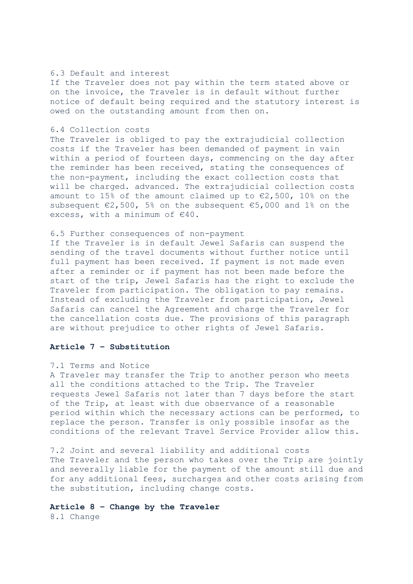## 6.3 Default and interest

If the Traveler does not pay within the term stated above or on the invoice, the Traveler is in default without further notice of default being required and the statutory interest is owed on the outstanding amount from then on.

## 6.4 Collection costs

The Traveler is obliged to pay the extrajudicial collection costs if the Traveler has been demanded of payment in vain within a period of fourteen days, commencing on the day after the reminder has been received, stating the consequences of the non-payment, including the exact collection costs that will be charged. advanced. The extrajudicial collection costs amount to 15% of the amount claimed up to  $\epsilon$ 2,500, 10% on the subsequent €2,500, 5% on the subsequent €5,000 and 1% on the excess, with a minimum of  $€40$ .

#### 6.5 Further consequences of non-payment

If the Traveler is in default Jewel Safaris can suspend the sending of the travel documents without further notice until full payment has been received. If payment is not made even after a reminder or if payment has not been made before the start of the trip, Jewel Safaris has the right to exclude the Traveler from participation. The obligation to pay remains. Instead of excluding the Traveler from participation, Jewel Safaris can cancel the Agreement and charge the Traveler for the cancellation costs due. The provisions of this paragraph are without prejudice to other rights of Jewel Safaris.

## **Article 7 – Substitution**

### 7.1 Terms and Notice

A Traveler may transfer the Trip to another person who meets all the conditions attached to the Trip. The Traveler requests Jewel Safaris not later than 7 days before the start of the Trip, at least with due observance of a reasonable period within which the necessary actions can be performed, to replace the person. Transfer is only possible insofar as the conditions of the relevant Travel Service Provider allow this.

7.2 Joint and several liability and additional costs The Traveler and the person who takes over the Trip are jointly and severally liable for the payment of the amount still due and for any additional fees, surcharges and other costs arising from the substitution, including change costs.

## **Article 8 – Change by the Traveler**

8.1 Change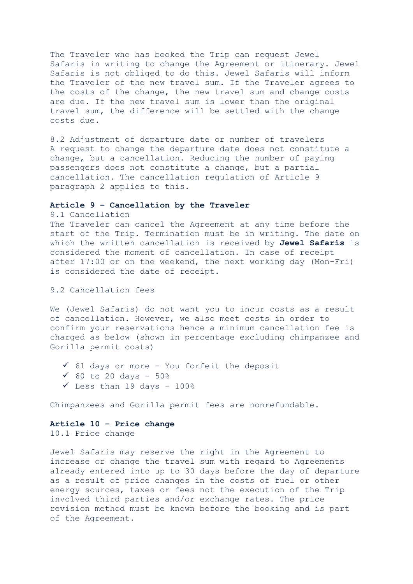The Traveler who has booked the Trip can request Jewel Safaris in writing to change the Agreement or itinerary. Jewel Safaris is not obliged to do this. Jewel Safaris will inform the Traveler of the new travel sum. If the Traveler agrees to the costs of the change, the new travel sum and change costs are due. If the new travel sum is lower than the original travel sum, the difference will be settled with the change costs due.

8.2 Adjustment of departure date or number of travelers A request to change the departure date does not constitute a change, but a cancellation. Reducing the number of paying passengers does not constitute a change, but a partial cancellation. The cancellation regulation of Article 9 paragraph 2 applies to this.

# **Article 9 – Cancellation by the Traveler**

9.1 Cancellation

The Traveler can cancel the Agreement at any time before the start of the Trip. Termination must be in writing. The date on which the written cancellation is received by **Jewel Safaris** is considered the moment of cancellation. In case of receipt after 17:00 or on the weekend, the next working day (Mon-Fri) is considered the date of receipt.

## 9.2 Cancellation fees

We (Jewel Safaris) do not want you to incur costs as a result of cancellation. However, we also meet costs in order to confirm your reservations hence a minimum cancellation fee is charged as below (shown in percentage excluding chimpanzee and Gorilla permit costs)

- ✓ 61 days or more You forfeit the deposit
- $√ 60$  to 20 days 50%
- $\checkmark$  Less than 19 days 100%

Chimpanzees and Gorilla permit fees are nonrefundable.

### **Article 10 – Price change**

10.1 Price change

Jewel Safaris may reserve the right in the Agreement to increase or change the travel sum with regard to Agreements already entered into up to 30 days before the day of departure as a result of price changes in the costs of fuel or other energy sources, taxes or fees not the execution of the Trip involved third parties and/or exchange rates. The price revision method must be known before the booking and is part of the Agreement.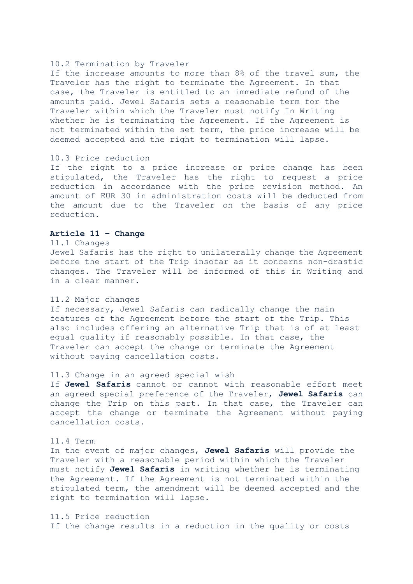### 10.2 Termination by Traveler

If the increase amounts to more than 8% of the travel sum, the Traveler has the right to terminate the Agreement. In that case, the Traveler is entitled to an immediate refund of the amounts paid. Jewel Safaris sets a reasonable term for the Traveler within which the Traveler must notify In Writing whether he is terminating the Agreement. If the Agreement is not terminated within the set term, the price increase will be deemed accepted and the right to termination will lapse.

## 10.3 Price reduction

If the right to a price increase or price change has been stipulated, the Traveler has the right to request a price reduction in accordance with the price revision method. An amount of EUR 30 in administration costs will be deducted from the amount due to the Traveler on the basis of any price reduction.

## **Article 11 – Change**

#### 11.1 Changes

Jewel Safaris has the right to unilaterally change the Agreement before the start of the Trip insofar as it concerns non-drastic changes. The Traveler will be informed of this in Writing and in a clear manner.

### 11.2 Major changes

If necessary, Jewel Safaris can radically change the main features of the Agreement before the start of the Trip. This also includes offering an alternative Trip that is of at least equal quality if reasonably possible. In that case, the Traveler can accept the change or terminate the Agreement without paying cancellation costs.

## 11.3 Change in an agreed special wish

If **Jewel Safaris** cannot or cannot with reasonable effort meet an agreed special preference of the Traveler, **Jewel Safaris** can change the Trip on this part. In that case, the Traveler can accept the change or terminate the Agreement without paying cancellation costs.

## 11.4 Term

In the event of major changes, **Jewel Safaris** will provide the Traveler with a reasonable period within which the Traveler must notify **Jewel Safaris** in writing whether he is terminating the Agreement. If the Agreement is not terminated within the stipulated term, the amendment will be deemed accepted and the right to termination will lapse.

11.5 Price reduction If the change results in a reduction in the quality or costs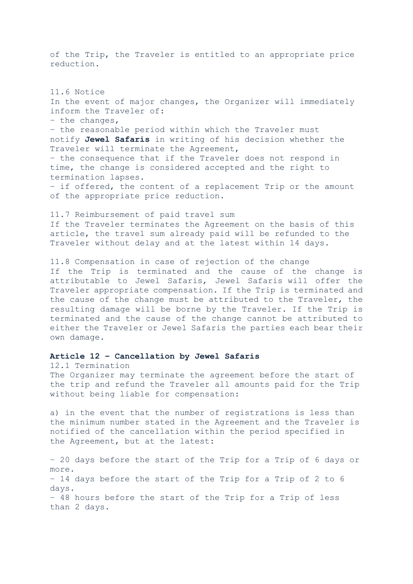of the Trip, the Traveler is entitled to an appropriate price reduction.

11.6 Notice In the event of major changes, the Organizer will immediately inform the Traveler of: – the changes, – the reasonable period within which the Traveler must notify **Jewel Safaris** in writing of his decision whether the Traveler will terminate the Agreement, – the consequence that if the Traveler does not respond in time, the change is considered accepted and the right to termination lapses. – if offered, the content of a replacement Trip or the amount of the appropriate price reduction.

11.7 Reimbursement of paid travel sum If the Traveler terminates the Agreement on the basis of this article, the travel sum already paid will be refunded to the Traveler without delay and at the latest within 14 days.

11.8 Compensation in case of rejection of the change If the Trip is terminated and the cause of the change is attributable to Jewel Safaris, Jewel Safaris will offer the Traveler appropriate compensation. If the Trip is terminated and the cause of the change must be attributed to the Traveler, the resulting damage will be borne by the Traveler. If the Trip is terminated and the cause of the change cannot be attributed to either the Traveler or Jewel Safaris the parties each bear their own damage.

### **Article 12 – Cancellation by Jewel Safaris**

12.1 Termination The Organizer may terminate the agreement before the start of the trip and refund the Traveler all amounts paid for the Trip without being liable for compensation:

a) in the event that the number of registrations is less than the minimum number stated in the Agreement and the Traveler is notified of the cancellation within the period specified in the Agreement, but at the latest:

– 20 days before the start of the Trip for a Trip of 6 days or more. – 14 days before the start of the Trip for a Trip of 2 to 6 days. – 48 hours before the start of the Trip for a Trip of less than 2 days.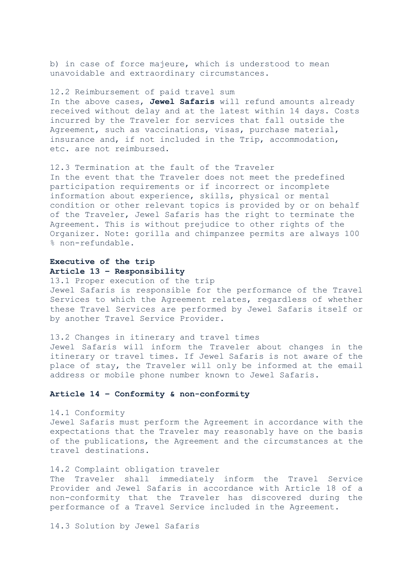b) in case of force majeure, which is understood to mean unavoidable and extraordinary circumstances.

12.2 Reimbursement of paid travel sum In the above cases, **Jewel Safaris** will refund amounts already received without delay and at the latest within 14 days. Costs incurred by the Traveler for services that fall outside the Agreement, such as vaccinations, visas, purchase material, insurance and, if not included in the Trip, accommodation, etc. are not reimbursed.

12.3 Termination at the fault of the Traveler In the event that the Traveler does not meet the predefined participation requirements or if incorrect or incomplete information about experience, skills, physical or mental condition or other relevant topics is provided by or on behalf of the Traveler, Jewel Safaris has the right to terminate the Agreement. This is without prejudice to other rights of the Organizer. Note: gorilla and chimpanzee permits are always 100 % non-refundable.

# **Executive of the trip Article 13 – Responsibility**

13.1 Proper execution of the trip Jewel Safaris is responsible for the performance of the Travel Services to which the Agreement relates, regardless of whether these Travel Services are performed by Jewel Safaris itself or by another Travel Service Provider.

13.2 Changes in itinerary and travel times Jewel Safaris will inform the Traveler about changes in the itinerary or travel times. If Jewel Safaris is not aware of the place of stay, the Traveler will only be informed at the email address or mobile phone number known to Jewel Safaris.

# **Article 14 – Conformity & non-conformity**

14.1 Conformity Jewel Safaris must perform the Agreement in accordance with the expectations that the Traveler may reasonably have on the basis of the publications, the Agreement and the circumstances at the travel destinations.

#### 14.2 Complaint obligation traveler

The Traveler shall immediately inform the Travel Service Provider and Jewel Safaris in accordance with Article 18 of a non-conformity that the Traveler has discovered during the performance of a Travel Service included in the Agreement.

14.3 Solution by Jewel Safaris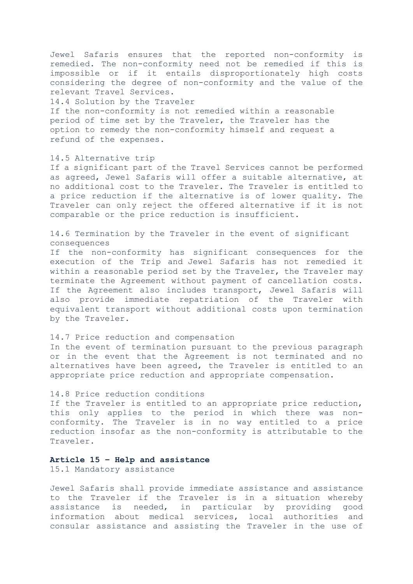Jewel Safaris ensures that the reported non-conformity is remedied. The non-conformity need not be remedied if this is impossible or if it entails disproportionately high costs considering the degree of non-conformity and the value of the relevant Travel Services.

14.4 Solution by the Traveler

If the non-conformity is not remedied within a reasonable period of time set by the Traveler, the Traveler has the option to remedy the non-conformity himself and request a refund of the expenses.

#### 14.5 Alternative trip

If a significant part of the Travel Services cannot be performed as agreed, Jewel Safaris will offer a suitable alternative, at no additional cost to the Traveler. The Traveler is entitled to a price reduction if the alternative is of lower quality. The Traveler can only reject the offered alternative if it is not comparable or the price reduction is insufficient.

14.6 Termination by the Traveler in the event of significant consequences

If the non-conformity has significant consequences for the execution of the Trip and Jewel Safaris has not remedied it within a reasonable period set by the Traveler, the Traveler may terminate the Agreement without payment of cancellation costs. If the Agreement also includes transport, Jewel Safaris will also provide immediate repatriation of the Traveler with equivalent transport without additional costs upon termination by the Traveler.

14.7 Price reduction and compensation In the event of termination pursuant to the previous paragraph or in the event that the Agreement is not terminated and no alternatives have been agreed, the Traveler is entitled to an appropriate price reduction and appropriate compensation.

## 14.8 Price reduction conditions

If the Traveler is entitled to an appropriate price reduction, this only applies to the period in which there was nonconformity. The Traveler is in no way entitled to a price reduction insofar as the non-conformity is attributable to the Traveler.

# **Article 15 – Help and assistance**

15.1 Mandatory assistance

Jewel Safaris shall provide immediate assistance and assistance to the Traveler if the Traveler is in a situation whereby assistance is needed, in particular by providing good information about medical services, local authorities and consular assistance and assisting the Traveler in the use of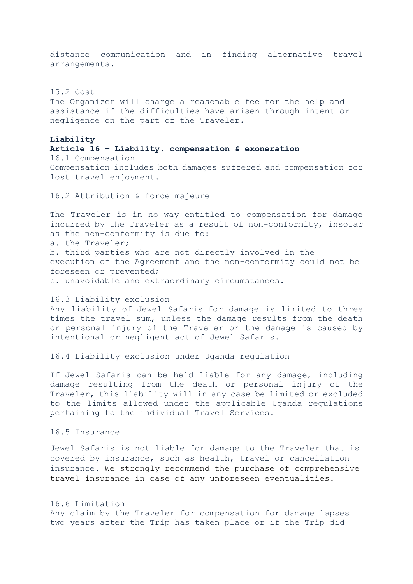distance communication and in finding alternative travel arrangements.

15.2 Cost The Organizer will charge a reasonable fee for the help and assistance if the difficulties have arisen through intent or negligence on the part of the Traveler.

## **Liability**

**Article 16 – Liability, compensation & exoneration** 16.1 Compensation Compensation includes both damages suffered and compensation for lost travel enjoyment.

16.2 Attribution & force majeure

The Traveler is in no way entitled to compensation for damage incurred by the Traveler as a result of non-conformity, insofar as the non-conformity is due to: a. the Traveler; b. third parties who are not directly involved in the execution of the Agreement and the non-conformity could not be foreseen or prevented; c. unavoidable and extraordinary circumstances.

## 16.3 Liability exclusion

Any liability of Jewel Safaris for damage is limited to three times the travel sum, unless the damage results from the death or personal injury of the Traveler or the damage is caused by intentional or negligent act of Jewel Safaris.

### 16.4 Liability exclusion under Uganda regulation

If Jewel Safaris can be held liable for any damage, including damage resulting from the death or personal injury of the Traveler, this liability will in any case be limited or excluded to the limits allowed under the applicable Uganda regulations pertaining to the individual Travel Services.

## 16.5 Insurance

Jewel Safaris is not liable for damage to the Traveler that is covered by insurance, such as health, travel or cancellation insurance. We strongly recommend the purchase of comprehensive travel insurance in case of any unforeseen eventualities.

## 16.6 Limitation

Any claim by the Traveler for compensation for damage lapses two years after the Trip has taken place or if the Trip did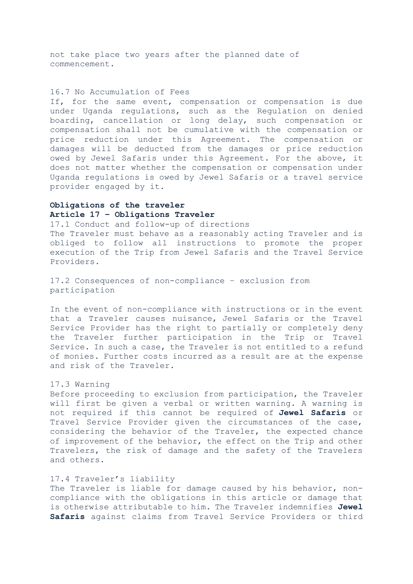not take place two years after the planned date of commencement.

## 16.7 No Accumulation of Fees

If, for the same event, compensation or compensation is due under Uganda regulations, such as the Regulation on denied boarding, cancellation or long delay, such compensation or compensation shall not be cumulative with the compensation or price reduction under this Agreement. The compensation or damages will be deducted from the damages or price reduction owed by Jewel Safaris under this Agreement. For the above, it does not matter whether the compensation or compensation under Uganda regulations is owed by Jewel Safaris or a travel service provider engaged by it.

# **Obligations of the traveler Article 17 – Obligations Traveler**

17.1 Conduct and follow-up of directions The Traveler must behave as a reasonably acting Traveler and is obliged to follow all instructions to promote the proper execution of the Trip from Jewel Safaris and the Travel Service Providers.

17.2 Consequences of non-compliance – exclusion from participation

In the event of non-compliance with instructions or in the event that a Traveler causes nuisance, Jewel Safaris or the Travel Service Provider has the right to partially or completely deny the Traveler further participation in the Trip or Travel Service. In such a case, the Traveler is not entitled to a refund of monies. Further costs incurred as a result are at the expense and risk of the Traveler.

## 17.3 Warning

Before proceeding to exclusion from participation, the Traveler will first be given a verbal or written warning. A warning is not required if this cannot be required of **Jewel Safaris** or Travel Service Provider given the circumstances of the case, considering the behavior of the Traveler, the expected chance of improvement of the behavior, the effect on the Trip and other Travelers, the risk of damage and the safety of the Travelers and others.

## 17.4 Traveler's liability

The Traveler is liable for damage caused by his behavior, noncompliance with the obligations in this article or damage that is otherwise attributable to him. The Traveler indemnifies **Jewel Safaris** against claims from Travel Service Providers or third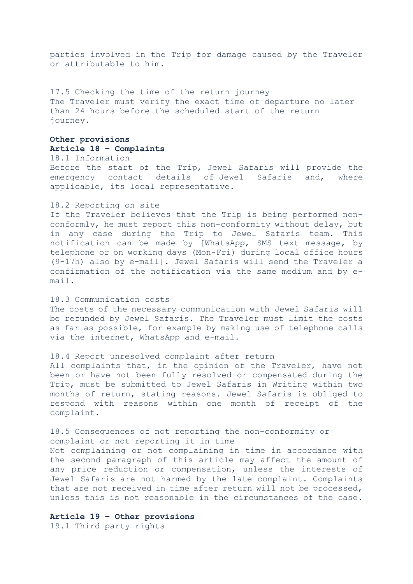parties involved in the Trip for damage caused by the Traveler or attributable to him.

17.5 Checking the time of the return journey The Traveler must verify the exact time of departure no later than 24 hours before the scheduled start of the return journey.

## **Other provisions Article 18 – Complaints**

18.1 Information Before the start of the Trip, Jewel Safaris will provide the emergency contact details of Jewel Safaris and, where applicable, its local representative.

### 18.2 Reporting on site

If the Traveler believes that the Trip is being performed nonconformly, he must report this non-conformity without delay, but in any case during the Trip to Jewel Safaris team. This notification can be made by [WhatsApp, SMS text message, by telephone or on working days (Mon-Fri) during local office hours (9-17h) also by e-mail]. Jewel Safaris will send the Traveler a confirmation of the notification via the same medium and by email.

## 18.3 Communication costs

The costs of the necessary communication with Jewel Safaris will be refunded by Jewel Safaris. The Traveler must limit the costs as far as possible, for example by making use of telephone calls via the internet, WhatsApp and e-mail.

### 18.4 Report unresolved complaint after return

All complaints that, in the opinion of the Traveler, have not been or have not been fully resolved or compensated during the Trip, must be submitted to Jewel Safaris in Writing within two months of return, stating reasons. Jewel Safaris is obliged to respond with reasons within one month of receipt of the complaint.

18.5 Consequences of not reporting the non-conformity or complaint or not reporting it in time Not complaining or not complaining in time in accordance with the second paragraph of this article may affect the amount of any price reduction or compensation, unless the interests of Jewel Safaris are not harmed by the late complaint. Complaints that are not received in time after return will not be processed, unless this is not reasonable in the circumstances of the case.

## **Article 19 – Other provisions**

19.1 Third party rights